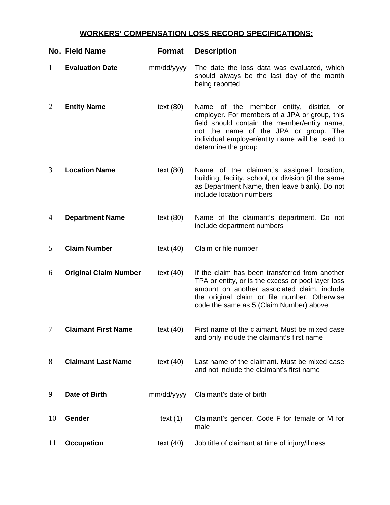## **WORKERS' COMPENSATION LOSS RECORD SPECIFICATIONS:**

|                | No. Field Name               | <b>Format</b> | <b>Description</b>                                                                                                                                                                                                                                                |
|----------------|------------------------------|---------------|-------------------------------------------------------------------------------------------------------------------------------------------------------------------------------------------------------------------------------------------------------------------|
| 1              | <b>Evaluation Date</b>       | mm/dd/yyyy    | The date the loss data was evaluated, which<br>should always be the last day of the month<br>being reported                                                                                                                                                       |
| $\overline{2}$ | <b>Entity Name</b>           | text $(80)$   | Name of the<br>member entity, district,<br>or<br>employer. For members of a JPA or group, this<br>field should contain the member/entity name,<br>not the name of the JPA or group. The<br>individual employer/entity name will be used to<br>determine the group |
| 3              | <b>Location Name</b>         | text $(80)$   | Name of the claimant's assigned location,<br>building, facility, school, or division (if the same<br>as Department Name, then leave blank). Do not<br>include location numbers                                                                                    |
| 4              | <b>Department Name</b>       | text $(80)$   | Name of the claimant's department. Do not<br>include department numbers                                                                                                                                                                                           |
| 5              | <b>Claim Number</b>          | text $(40)$   | Claim or file number                                                                                                                                                                                                                                              |
| 6              | <b>Original Claim Number</b> | text $(40)$   | If the claim has been transferred from another<br>TPA or entity, or is the excess or pool layer loss<br>amount on another associated claim, include<br>the original claim or file number. Otherwise<br>code the same as 5 (Claim Number) above                    |
| 7              | <b>Claimant First Name</b>   | text $(40)$   | First name of the claimant. Must be mixed case<br>and only include the claimant's first name                                                                                                                                                                      |
| 8              | <b>Claimant Last Name</b>    | text $(40)$   | Last name of the claimant. Must be mixed case<br>and not include the claimant's first name                                                                                                                                                                        |
| 9              | Date of Birth                | mm/dd/yyyy    | Claimant's date of birth                                                                                                                                                                                                                                          |
| 10             | Gender                       | text $(1)$    | Claimant's gender. Code F for female or M for<br>male                                                                                                                                                                                                             |
| 11             | <b>Occupation</b>            | text $(40)$   | Job title of claimant at time of injury/illness                                                                                                                                                                                                                   |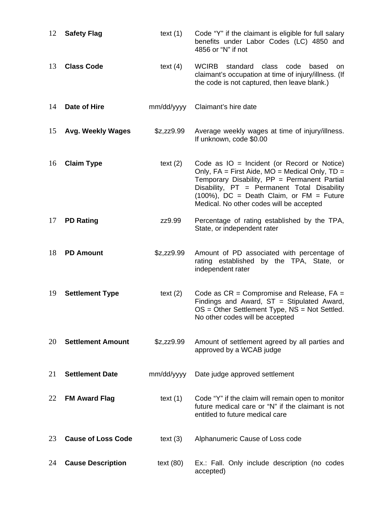| 12 | <b>Safety Flag</b>        | text $(1)$  | Code "Y" if the claimant is eligible for full salary<br>benefits under Labor Codes (LC) 4850 and<br>4856 or "N" if not                                                                                                                                                                    |
|----|---------------------------|-------------|-------------------------------------------------------------------------------------------------------------------------------------------------------------------------------------------------------------------------------------------------------------------------------------------|
| 13 | <b>Class Code</b>         | text $(4)$  | <b>WCIRB</b><br>standard<br>class<br>code<br>based<br>on.<br>claimant's occupation at time of injury/illness. (If<br>the code is not captured, then leave blank.)                                                                                                                         |
| 14 | Date of Hire              | mm/dd/yyyy  | Claimant's hire date                                                                                                                                                                                                                                                                      |
| 15 | <b>Avg. Weekly Wages</b>  | \$z,zz9.99  | Average weekly wages at time of injury/illness.<br>If unknown, code \$0.00                                                                                                                                                                                                                |
| 16 | <b>Claim Type</b>         | text $(2)$  | Code as $IO = Incident$ (or Record or Notice)<br>Only, FA = First Aide, MO = Medical Only, TD =<br>Temporary Disability, PP = Permanent Partial<br>Disability, PT = Permanent Total Disability<br>$(100%)$ , DC = Death Claim, or FM = Future<br>Medical. No other codes will be accepted |
| 17 | <b>PD Rating</b>          | zz9.99      | Percentage of rating established by the TPA,<br>State, or independent rater                                                                                                                                                                                                               |
| 18 | <b>PD Amount</b>          | \$z,zz9.99  | Amount of PD associated with percentage of<br>rating established by the TPA, State, or<br>independent rater                                                                                                                                                                               |
| 19 | <b>Settlement Type</b>    | text $(2)$  | Code as $CR =$ Compromise and Release, $FA =$<br>Findings and Award, $ST = Stipulated Award$ ,<br>$OS = Other Settlement Type, NS = Not Settled.$<br>No other codes will be accepted                                                                                                      |
| 20 | <b>Settlement Amount</b>  | \$z,zz9.99  | Amount of settlement agreed by all parties and<br>approved by a WCAB judge                                                                                                                                                                                                                |
| 21 | <b>Settlement Date</b>    | mm/dd/yyyy  | Date judge approved settlement                                                                                                                                                                                                                                                            |
| 22 | <b>FM Award Flag</b>      | text $(1)$  | Code "Y" if the claim will remain open to monitor<br>future medical care or "N" if the claimant is not<br>entitled to future medical care                                                                                                                                                 |
| 23 | <b>Cause of Loss Code</b> | text $(3)$  | Alphanumeric Cause of Loss code                                                                                                                                                                                                                                                           |
| 24 | <b>Cause Description</b>  | text $(80)$ | Ex.: Fall. Only include description (no codes<br>accepted)                                                                                                                                                                                                                                |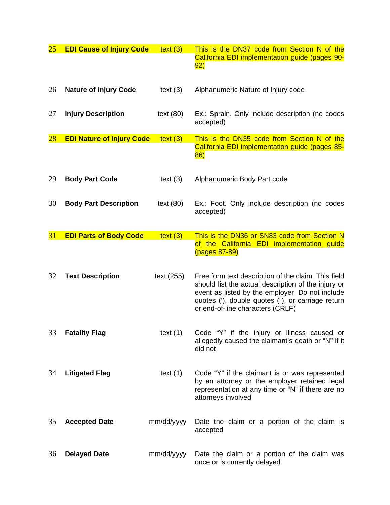| <u>25</u> | <b>EDI Cause of Injury Code</b>  | text (3)    | This is the DN37 code from Section N of the<br>California EDI implementation guide (pages 90-<br>92)                                                                                                                                                                                                                  |
|-----------|----------------------------------|-------------|-----------------------------------------------------------------------------------------------------------------------------------------------------------------------------------------------------------------------------------------------------------------------------------------------------------------------|
| 26        | <b>Nature of Injury Code</b>     | text $(3)$  | Alphanumeric Nature of Injury code                                                                                                                                                                                                                                                                                    |
| 27        | <b>Injury Description</b>        | text $(80)$ | Ex.: Sprain. Only include description (no codes<br>accepted)                                                                                                                                                                                                                                                          |
| $28\,$    | <b>EDI Nature of Injury Code</b> | text (3)    | This is the DN35 code from Section N of the                                                                                                                                                                                                                                                                           |
|           |                                  |             | California EDI implementation guide (pages 85-<br>86)                                                                                                                                                                                                                                                                 |
| 29        | <b>Body Part Code</b>            | text $(3)$  | Alphanumeric Body Part code                                                                                                                                                                                                                                                                                           |
| 30        | <b>Body Part Description</b>     | text $(80)$ | Ex.: Foot. Only include description (no codes<br>accepted)                                                                                                                                                                                                                                                            |
| 31        | <b>EDI Parts of Body Code</b>    | text (3)    | This is the DN36 or SN83 code from Section N                                                                                                                                                                                                                                                                          |
| 32        | <b>Text Description</b>          | text (255)  | of the California EDI implementation guide<br>(pages 87-89)<br>Free form text description of the claim. This field<br>should list the actual description of the injury or<br>event as listed by the employer. Do not include<br>quotes ('), double quotes ("), or carriage return<br>or end-of-line characters (CRLF) |
| 33        | <b>Fatality Flag</b>             | text $(1)$  | Code "Y" if the injury or illness caused or<br>allegedly caused the claimant's death or "N" if it<br>did not                                                                                                                                                                                                          |
| 34        | <b>Litigated Flag</b>            | text $(1)$  | Code "Y" if the claimant is or was represented<br>by an attorney or the employer retained legal<br>representation at any time or "N" if there are no<br>attorneys involved                                                                                                                                            |
| 35        | <b>Accepted Date</b>             | mm/dd/yyyy  | Date the claim or a portion of the claim is<br>accepted                                                                                                                                                                                                                                                               |
| 36        | <b>Delayed Date</b>              | mm/dd/yyyy  | Date the claim or a portion of the claim was<br>once or is currently delayed                                                                                                                                                                                                                                          |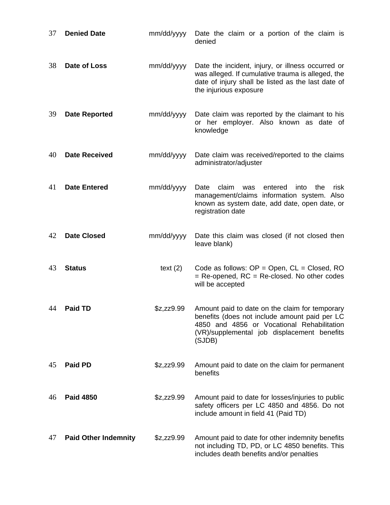| 37 | <b>Denied Date</b>          | mm/dd/yyyy | Date the claim or a portion of the claim is<br>denied                                                                                                                                                  |
|----|-----------------------------|------------|--------------------------------------------------------------------------------------------------------------------------------------------------------------------------------------------------------|
| 38 | Date of Loss                | mm/dd/yyyy | Date the incident, injury, or illness occurred or<br>was alleged. If cumulative trauma is alleged, the<br>date of injury shall be listed as the last date of<br>the injurious exposure                 |
| 39 | <b>Date Reported</b>        | mm/dd/yyyy | Date claim was reported by the claimant to his<br>or her employer. Also known as date of<br>knowledge                                                                                                  |
| 40 | <b>Date Received</b>        | mm/dd/yyyy | Date claim was received/reported to the claims<br>administrator/adjuster                                                                                                                               |
| 41 | <b>Date Entered</b>         | mm/dd/yyyy | claim<br>Date<br>entered<br>into<br>the<br>was<br>risk<br>management/claims information system. Also<br>known as system date, add date, open date, or<br>registration date                             |
| 42 | <b>Date Closed</b>          | mm/dd/yyyy | Date this claim was closed (if not closed then<br>leave blank)                                                                                                                                         |
| 43 | <b>Status</b>               | text $(2)$ | Code as follows: $OP = Open$ , $CL = Closed$ , $RO$<br>= Re-opened, RC = Re-closed. No other codes<br>will be accepted                                                                                 |
| 44 | <b>Paid TD</b>              | \$z,zz9.99 | Amount paid to date on the claim for temporary<br>benefits (does not include amount paid per LC<br>4850 and 4856 or Vocational Rehabilitation<br>(VR)/supplemental job displacement benefits<br>(SJDB) |
| 45 | <b>Paid PD</b>              | \$z,zz9.99 | Amount paid to date on the claim for permanent<br>benefits                                                                                                                                             |
| 46 | <b>Paid 4850</b>            | \$z,zz9.99 | Amount paid to date for losses/injuries to public<br>safety officers per LC 4850 and 4856. Do not<br>include amount in field 41 (Paid TD)                                                              |
| 47 | <b>Paid Other Indemnity</b> | \$z,zz9.99 | Amount paid to date for other indemnity benefits<br>not including TD, PD, or LC 4850 benefits. This<br>includes death benefits and/or penalties                                                        |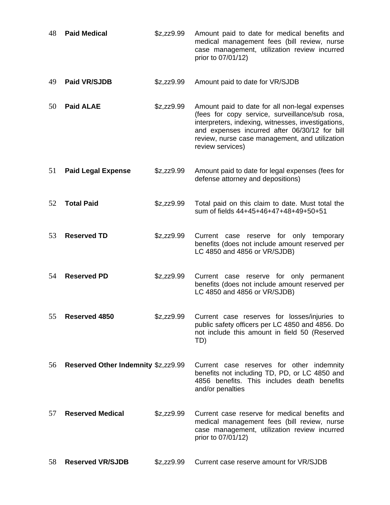| 48 | <b>Paid Medical</b>                 | \$z,zz9.99 | Amount paid to date for medical benefits and<br>medical management fees (bill review, nurse<br>case management, utilization review incurred<br>prior to 07/01/12)                                                                                                             |
|----|-------------------------------------|------------|-------------------------------------------------------------------------------------------------------------------------------------------------------------------------------------------------------------------------------------------------------------------------------|
| 49 | <b>Paid VR/SJDB</b>                 | \$z,zz9.99 | Amount paid to date for VR/SJDB                                                                                                                                                                                                                                               |
| 50 | <b>Paid ALAE</b>                    | \$z,zz9.99 | Amount paid to date for all non-legal expenses<br>(fees for copy service, surveillance/sub rosa,<br>interpreters, indexing, witnesses, investigations,<br>and expenses incurred after 06/30/12 for bill<br>review, nurse case management, and utilization<br>review services) |
| 51 | <b>Paid Legal Expense</b>           | \$z,zz9.99 | Amount paid to date for legal expenses (fees for<br>defense attorney and depositions)                                                                                                                                                                                         |
| 52 | <b>Total Paid</b>                   | \$z,zz9.99 | Total paid on this claim to date. Must total the<br>sum of fields 44+45+46+47+48+49+50+51                                                                                                                                                                                     |
| 53 | <b>Reserved TD</b>                  | \$z,zz9.99 | Current<br>reserve for only temporary<br>case<br>benefits (does not include amount reserved per<br>LC 4850 and 4856 or VR/SJDB)                                                                                                                                               |
| 54 | <b>Reserved PD</b>                  | \$z,zz9.99 | Current case reserve for only permanent<br>benefits (does not include amount reserved per<br>LC 4850 and 4856 or VR/SJDB)                                                                                                                                                     |
| 55 | Reserved 4850                       | \$z,zz9.99 | Current case reserves for losses/injuries to<br>public safety officers per LC 4850 and 4856. Do<br>not include this amount in field 50 (Reserved<br>TD)                                                                                                                       |
| 56 | Reserved Other Indemnity \$z,zz9.99 |            | Current case reserves for other indemnity<br>benefits not including TD, PD, or LC 4850 and<br>4856 benefits. This includes death benefits<br>and/or penalties                                                                                                                 |
| 57 | <b>Reserved Medical</b>             | \$z,zz9.99 | Current case reserve for medical benefits and<br>medical management fees (bill review, nurse<br>case management, utilization review incurred<br>prior to 07/01/12)                                                                                                            |
| 58 | <b>Reserved VR/SJDB</b>             | \$z,zz9.99 | Current case reserve amount for VR/SJDB                                                                                                                                                                                                                                       |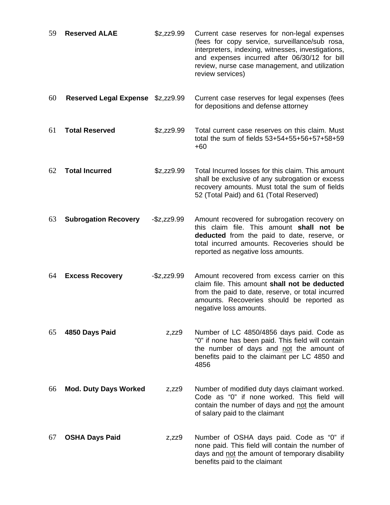| 59 | <b>Reserved ALAE</b>          | \$z,zz9.99        | Current case reserves for non-legal expenses<br>(fees for copy service, surveillance/sub rosa,<br>interpreters, indexing, witnesses, investigations,<br>and expenses incurred after 06/30/12 for bill<br>review, nurse case management, and utilization<br>review services) |
|----|-------------------------------|-------------------|-----------------------------------------------------------------------------------------------------------------------------------------------------------------------------------------------------------------------------------------------------------------------------|
| 60 | <b>Reserved Legal Expense</b> | \$z,zz9.99        | Current case reserves for legal expenses (fees<br>for depositions and defense attorney                                                                                                                                                                                      |
| 61 | <b>Total Reserved</b>         | \$z,zz9.99        | Total current case reserves on this claim. Must<br>total the sum of fields 53+54+55+56+57+58+59<br>$+60$                                                                                                                                                                    |
| 62 | <b>Total Incurred</b>         | \$z,zz9.99        | Total Incurred losses for this claim. This amount<br>shall be exclusive of any subrogation or excess<br>recovery amounts. Must total the sum of fields<br>52 (Total Paid) and 61 (Total Reserved)                                                                           |
| 63 | <b>Subrogation Recovery</b>   | $-$ \$z,zz $9.99$ | Amount recovered for subrogation recovery on<br>this claim file. This amount shall not be<br>deducted from the paid to date, reserve, or<br>total incurred amounts. Recoveries should be<br>reported as negative loss amounts.                                              |
| 64 | <b>Excess Recovery</b>        | $-\$z, zz9.99$    | Amount recovered from excess carrier on this<br>claim file. This amount shall not be deducted<br>from the paid to date, reserve, or total incurred<br>amounts. Recoveries should be reported as<br>negative loss amounts.                                                   |
| 65 | 4850 Days Paid                | $z$ , $zz9$       | Number of LC 4850/4856 days paid. Code as<br>"0" if none has been paid. This field will contain<br>the number of days and not the amount of<br>benefits paid to the claimant per LC 4850 and<br>4856                                                                        |
| 66 | <b>Mod. Duty Days Worked</b>  | $z$ , $zz9$       | Number of modified duty days claimant worked.<br>Code as "0" if none worked. This field will<br>contain the number of days and not the amount<br>of salary paid to the claimant                                                                                             |
| 67 | <b>OSHA Days Paid</b>         | $z$ , $zz9$       | Number of OSHA days paid. Code as "0" if<br>none paid. This field will contain the number of<br>days and not the amount of temporary disability<br>benefits paid to the claimant                                                                                            |